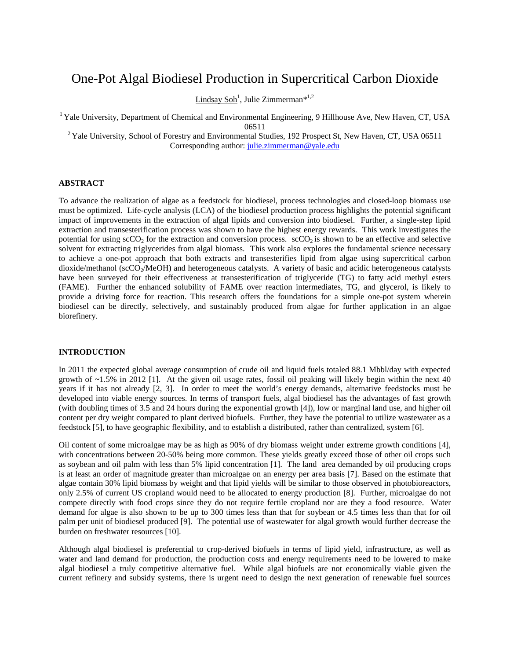# One-Pot Algal Biodiesel Production in Supercritical Carbon Dioxide

Lindsay Soh<sup>1</sup>, Julie Zimmerman\*<sup>1,2</sup>

<sup>1</sup> Yale University, Department of Chemical and Environmental Engineering, 9 Hillhouse Ave, New Haven, CT, USA 06511<br><sup>2</sup> Yale University, School of Forestry and Environmental Studies, 192 Prospect St, New Haven, CT, USA 06511

Corresponding author: [julie.zimmerman@yale.edu](mailto:julie.zimmerman@yale.edu)

# **ABSTRACT**

To advance the realization of algae as a feedstock for biodiesel, process technologies and closed-loop biomass use must be optimized. Life-cycle analysis (LCA) of the biodiesel production process highlights the potential significant impact of improvements in the extraction of algal lipids and conversion into biodiesel. Further, a single-step lipid extraction and transesterification process was shown to have the highest energy rewards. This work investigates the potential for using  $\sec 0<sub>2</sub>$  for the extraction and conversion process.  $\sec 0<sub>2</sub>$  is shown to be an effective and selective solvent for extracting triglycerides from algal biomass. This work also explores the fundamental science necessary to achieve a one-pot approach that both extracts and transesterifies lipid from algae using supercritical carbon dioxide/methanol ( $\dot{secO_2/MeOH}$ ) and heterogeneous catalysts. A variety of basic and acidic heterogeneous catalysts have been surveyed for their effectiveness at transesterification of triglyceride (TG) to fatty acid methyl esters (FAME). Further the enhanced solubility of FAME over reaction intermediates, TG, and glycerol, is likely to provide a driving force for reaction. This research offers the foundations for a simple one-pot system wherein biodiesel can be directly, selectively, and sustainably produced from algae for further application in an algae biorefinery.

# **INTRODUCTION**

In 2011 the expected global average consumption of crude oil and liquid fuels totaled 88.1 Mbbl/day with expected growth of  $\sim$ 1.5% in 2012 [\[1\]](#page-6-0). At the given oil usage rates, fossil oil peaking will likely begin within the next 40 years if it has not already [\[2,](#page-6-1) [3\]](#page-6-2). In order to meet the world's energy demands, alternative feedstocks must be developed into viable energy sources. In terms of transport fuels, algal biodiesel has the advantages of fast growth (with doubling times of 3.5 and 24 hours during the exponential growth [\[4\]](#page-6-3)), low or marginal land use, and higher oil content per dry weight compared to plant derived biofuels. Further, they have the potential to utilize wastewater as a feedstock [\[5\]](#page-6-4), to have geographic flexibility, and to establish a distributed, rather than centralized, system [\[6\]](#page-6-5).

Oil content of some microalgae may be as high as 90% of dry biomass weight under extreme growth conditions [\[4\]](#page-6-3), with concentrations between 20-50% being more common. These yields greatly exceed those of other oil crops such as soybean and oil palm with less than 5% lipid concentration [1]. The land area demanded by oil producing crops is at least an order of magnitude greater than microalgae on an energy per area basis [\[7\]](#page-6-6). Based on the estimate that algae contain 30% lipid biomass by weight and that lipid yields will be similar to those observed in photobioreactors, only 2.5% of current US cropland would need to be allocated to energy production [\[8\]](#page-6-7). Further, microalgae do not compete directly with food crops since they do not require fertile cropland nor are they a food resource. Water demand for algae is also shown to be up to 300 times less than that for soybean or 4.5 times less than that for oil palm per unit of biodiesel produced [\[9\]](#page-6-8). The potential use of wastewater for algal growth would further decrease the burden on freshwater resources [\[10\]](#page-6-9).

Although algal biodiesel is preferential to crop-derived biofuels in terms of lipid yield, infrastructure, as well as water and land demand for production, the production costs and energy requirements need to be lowered to make algal biodiesel a truly competitive alternative fuel. While algal biofuels are not economically viable given the current refinery and subsidy systems, there is urgent need to design the next generation of renewable fuel sources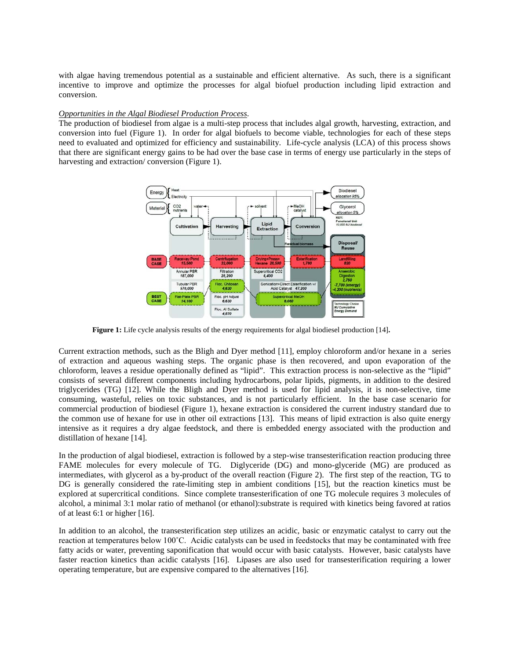with algae having tremendous potential as a sustainable and efficient alternative. As such, there is a significant incentive to improve and optimize the processes for algal biofuel production including lipid extraction and conversion.

## *Opportunities in the Algal Biodiesel Production Process*.

The production of biodiesel from algae is a multi-step process that includes algal growth, harvesting, extraction, and conversion into fuel (Figure 1). In order for algal biofuels to become viable, technologies for each of these steps need to evaluated and optimized for efficiency and sustainability. Life-cycle analysis (LCA) of this process shows that there are significant energy gains to be had over the base case in terms of energy use particularly in the steps of harvesting and extraction/ conversion (Figure 1).



**Figure 1:** Life cycle analysis results of the energy requirements for algal biodiesel production [14]**.**

Current extraction methods, such as the Bligh and Dyer method [\[11\]](#page-6-10), employ chloroform and/or hexane in a series of extraction and aqueous washing steps. The organic phase is then recovered, and upon evaporation of the chloroform, leaves a residue operationally defined as "lipid". This extraction process is non-selective as the "lipid" consists of several different components including hydrocarbons, polar lipids, pigments, in addition to the desired triglycerides (TG) [\[12\]](#page-6-11). While the Bligh and Dyer method is used for lipid analysis, it is non-selective, time consuming, wasteful, relies on toxic substances, and is not particularly efficient. In the base case scenario for commercial production of biodiesel (Figure 1), hexane extraction is considered the current industry standard due to the common use of hexane for use in other oil extractions [\[13\]](#page-6-12). This means of lipid extraction is also quite energy intensive as it requires a dry algae feedstock, and there is embedded energy associated with the production and distillation of hexane [\[14\]](#page-6-13).

In the production of algal biodiesel, extraction is followed by a step-wise transesterification reaction producing three FAME molecules for every molecule of TG. Diglyceride (DG) and mono-glyceride (MG) are produced as intermediates, with glycerol as a by-product of the overall reaction (Figure 2). The first step of the reaction, TG to DG is generally considered the rate-limiting step in ambient conditions [\[15\]](#page-6-14), but the reaction kinetics must be explored at supercritical conditions. Since complete transesterification of one TG molecule requires 3 molecules of alcohol, a minimal 3:1 molar ratio of methanol (or ethanol):substrate is required with kinetics being favored at ratios of at least 6:1 or higher [\[16\]](#page-6-15).

In addition to an alcohol, the transesterification step utilizes an acidic, basic or enzymatic catalyst to carry out the reaction at temperatures below 100˚C. Acidic catalysts can be used in feedstocks that may be contaminated with free fatty acids or water, preventing saponification that would occur with basic catalysts. However, basic catalysts have faster reaction kinetics than acidic catalysts [\[16\]](#page-6-15). Lipases are also used for transesterification requiring a lower operating temperature, but are expensive compared to the alternatives [\[16\]](#page-6-15).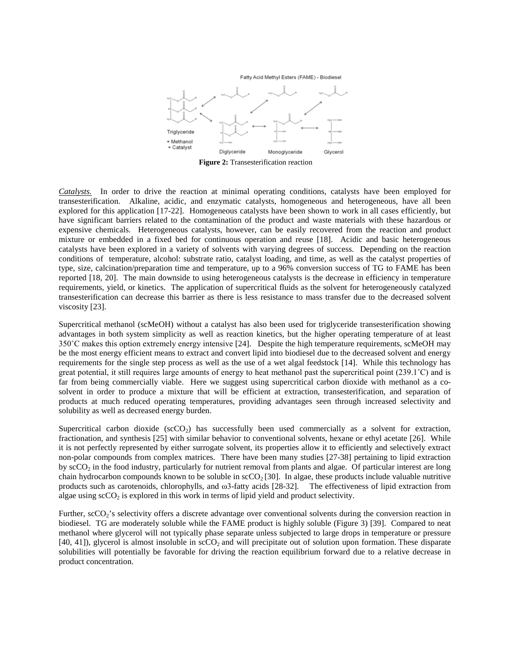Fatty Acid Methyl Esters (FAME) - Biodiesel



*Catalysts.* In order to drive the reaction at minimal operating conditions, catalysts have been employed for transesterification. Alkaline, acidic, and enzymatic catalysts, homogeneous and heterogeneous, have all been explored for this application [\[17-22\]](#page-6-16). Homogeneous catalysts have been shown to work in all cases efficiently, but have significant barriers related to the contamination of the product and waste materials with these hazardous or expensive chemicals. Heterogeneous catalysts, however, can be easily recovered from the reaction and product mixture or embedded in a fixed bed for continuous operation and reuse [\[18\]](#page-6-17). Acidic and basic heterogeneous catalysts have been explored in a variety of solvents with varying degrees of success. Depending on the reaction conditions of temperature, alcohol: substrate ratio, catalyst loading, and time, as well as the catalyst properties of type, size, calcination/preparation time and temperature, up to a 96% conversion success of TG to FAME has been reported [\[18,](#page-6-17) [20\]](#page-6-18). The main downside to using heterogeneous catalysts is the decrease in efficiency in temperature requirements, yield, or kinetics. The application of supercritical fluids as the solvent for heterogeneously catalyzed transesterification can decrease this barrier as there is less resistance to mass transfer due to the decreased solvent viscosity [\[23\]](#page-6-19).

Supercritical methanol (scMeOH) without a catalyst has also been used for triglyceride transesterification showing advantages in both system simplicity as well as reaction kinetics, but the higher operating temperature of at least 350˚C makes this option extremely energy intensive [\[24\]](#page-6-20). Despite the high temperature requirements, scMeOH may be the most energy efficient means to extract and convert lipid into biodiesel due to the decreased solvent and energy requirements for the single step process as well as the use of a wet algal feedstock [\[14\]](#page-6-13). While this technology has great potential, it still requires large amounts of energy to heat methanol past the supercritical point (239.1˚C) and is far from being commercially viable. Here we suggest using supercritical carbon dioxide with methanol as a cosolvent in order to produce a mixture that will be efficient at extraction, transesterification, and separation of products at much reduced operating temperatures, providing advantages seen through increased selectivity and solubility as well as decreased energy burden.

Supercritical carbon dioxide ( $\sec O_2$ ) has successfully been used commercially as a solvent for extraction, fractionation, and synthesis [\[25\]](#page-6-21) with similar behavior to conventional solvents, hexane or ethyl acetate [\[26\]](#page-6-22). While it is not perfectly represented by either surrogate solvent, its properties allow it to efficiently and selectively extract non-polar compounds from complex matrices. There have been many studies [\[27-38\]](#page-6-23) pertaining to lipid extraction by scCO<sub>2</sub> in the food industry, particularly for nutrient removal from plants and algae. Of particular interest are long chain hydrocarbon compounds known to be soluble in  $\sec O_2$  [\[30\]](#page-6-24). In algae, these products include valuable nutritive products such as carotenoids, chlorophylls, and ω3-fatty acids [\[28-32\]](#page-6-25). The effectiveness of lipid extraction from algae using  $\sec O_2$  is explored in this work in terms of lipid yield and product selectivity.

Further, scCO<sub>2</sub>'s selectivity offers a discrete advantage over conventional solvents during the conversion reaction in biodiesel. TG are moderately soluble while the FAME product is highly soluble (Figure 3) [\[39\]](#page-6-26). Compared to neat methanol where glycerol will not typically phase separate unless subjected to large drops in temperature or pressure  $[40, 41]$  $[40, 41]$ ), glycerol is almost insoluble in  $\sec O_2$  and will precipitate out of solution upon formation. These disparate solubilities will potentially be favorable for driving the reaction equilibrium forward due to a relative decrease in product concentration.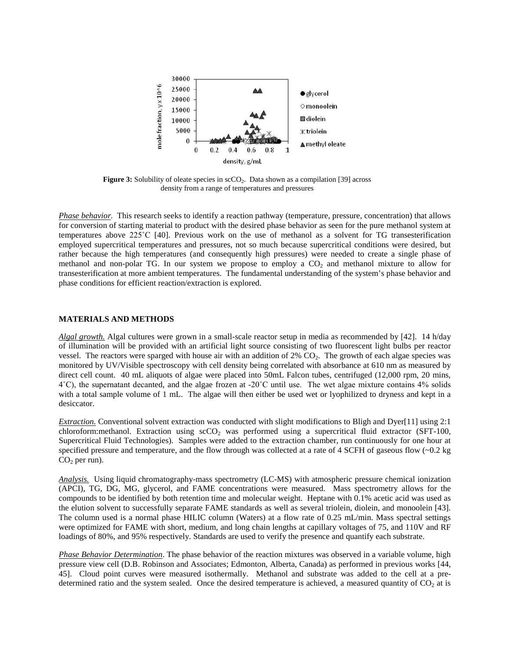

Figure 3: Solubility of oleate species in scCO<sub>2</sub>. Data shown as a compilation [39] across density from a range of temperatures and pressures

*Phase behavior.* This research seeks to identify a reaction pathway (temperature, pressure, concentration) that allows for conversion of starting material to product with the desired phase behavior as seen for the pure methanol system at temperatures above 225˚C [\[40\]](#page-6-27). Previous work on the use of methanol as a solvent for TG transesterification employed supercritical temperatures and pressures, not so much because supercritical conditions were desired, but rather because the high temperatures (and consequently high pressures) were needed to create a single phase of methanol and non-polar TG. In our system we propose to employ a CO<sub>2</sub> and methanol mixture to allow for transesterification at more ambient temperatures. The fundamental understanding of the system's phase behavior and phase conditions for efficient reaction/extraction is explored.

#### **MATERIALS AND METHODS**

*Algal growth.* Algal cultures were grown in a small-scale reactor setup in media as recommended by [\[42\]](#page-7-1). 14 h/day of illumination will be provided with an artificial light source consisting of two fluorescent light bulbs per reactor vessel. The reactors were sparged with house air with an addition of  $2\%$  CO<sub>2</sub>. The growth of each algae species was monitored by UV/Visible spectroscopy with cell density being correlated with absorbance at 610 nm as measured by direct cell count. 40 mL aliquots of algae were placed into 50mL Falcon tubes, centrifuged (12,000 rpm, 20 mins, 4˚C), the supernatant decanted, and the algae frozen at -20˚C until use. The wet algae mixture contains 4% solids with a total sample volume of 1 mL. The algae will then either be used wet or lyophilized to dryness and kept in a desiccator.

*Extraction.* Conventional solvent extraction was conducted with slight modifications to Bligh and Dyer[\[11\]](#page-6-10) using 2:1 chloroform:methanol. Extraction using  $\secO<sub>2</sub>$  was performed using a supercritical fluid extractor (SFT-100, Supercritical Fluid Technologies). Samples were added to the extraction chamber, run continuously for one hour at specified pressure and temperature, and the flow through was collected at a rate of 4 SCFH of gaseous flow  $(-0.2 \text{ kg})$  $CO<sub>2</sub>$  per run).

*Analysis.* Using liquid chromatography-mass spectrometry (LC-MS) with atmospheric pressure chemical ionization (APCI), TG, DG, MG, glycerol, and FAME concentrations were measured. Mass spectrometry allows for the compounds to be identified by both retention time and molecular weight. Heptane with 0.1% acetic acid was used as the elution solvent to successfully separate FAME standards as well as several triolein, diolein, and monoolein [\[43\]](#page-7-2). The column used is a normal phase HILIC column (Waters) at a flow rate of 0.25 mL/min. Mass spectral settings were optimized for FAME with short, medium, and long chain lengths at capillary voltages of 75, and 110V and RF loadings of 80%, and 95% respectively. Standards are used to verify the presence and quantify each substrate.

*Phase Behavior Determination*. The phase behavior of the reaction mixtures was observed in a variable volume, high pressure view cell (D.B. Robinson and Associates; Edmonton, Alberta, Canada) as performed in previous works [\[44,](#page-7-3) [45\]](#page-7-4). Cloud point curves were measured isothermally. Methanol and substrate was added to the cell at a predetermined ratio and the system sealed. Once the desired temperature is achieved, a measured quantity of  $CO<sub>2</sub>$  at is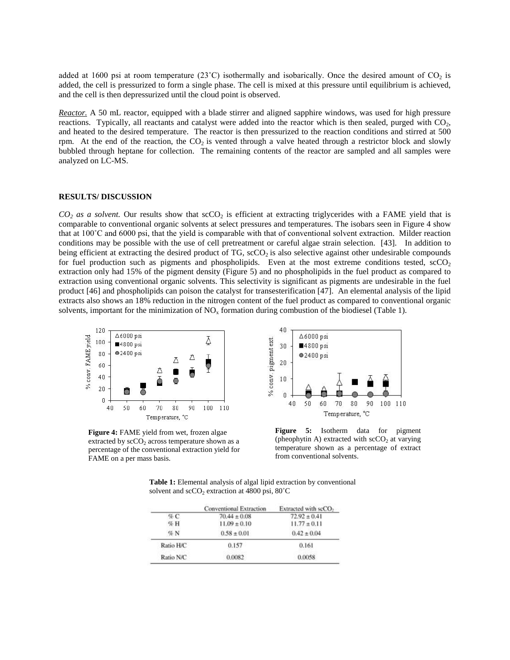added at 1600 psi at room temperature (23<sup>°</sup>C) isothermally and isobarically. Once the desired amount of  $CO<sub>2</sub>$  is added, the cell is pressurized to form a single phase. The cell is mixed at this pressure until equilibrium is achieved, and the cell is then depressurized until the cloud point is observed.

*Reactor.* A 50 mL reactor, equipped with a blade stirrer and aligned sapphire windows, was used for high pressure reactions. Typically, all reactants and catalyst were added into the reactor which is then sealed, purged with  $CO<sub>2</sub>$ , and heated to the desired temperature. The reactor is then pressurized to the reaction conditions and stirred at 500 rpm. At the end of the reaction, the  $CO<sub>2</sub>$  is vented through a valve heated through a restrictor block and slowly bubbled through heptane for collection. The remaining contents of the reactor are sampled and all samples were analyzed on LC-MS.

## **RESULTS/ DISCUSSION**

 $CO<sub>2</sub>$  *as a solvent*. Our results show that  $\sec O<sub>2</sub>$  is efficient at extracting triglycerides with a FAME yield that is comparable to conventional organic solvents at select pressures and temperatures. The isobars seen in Figure 4 show that at 100˚C and 6000 psi, that the yield is comparable with that of conventional solvent extraction. Milder reaction conditions may be possible with the use of cell pretreatment or careful algae strain selection. [\[43\]](#page-7-2). In addition to being efficient at extracting the desired product of  $TG$ ,  $\secO<sub>2</sub>$  is also selective against other undesirable compounds for fuel production such as pigments and phospholipids. Even at the most extreme conditions tested,  $\text{scCO}_2$ extraction only had 15% of the pigment density (Figure 5) and no phospholipids in the fuel product as compared to extraction using conventional organic solvents. This selectivity is significant as pigments are undesirable in the fuel product [\[46\]](#page-7-5) and phospholipids can poison the catalyst for transesterification [\[47\]](#page-7-6). An elemental analysis of the lipid extracts also shows an 18% reduction in the nitrogen content of the fuel product as compared to conventional organic solvents, important for the minimization of  $NO<sub>x</sub>$  formation during combustion of the biodiesel (Table 1).



**Figure 4:** FAME yield from wet, frozen algae extracted by  $\sec O_2$  across temperature shown as a percentage of the conventional extraction yield for FAME on a per mass basis.



**Figure 5:** Isotherm data for pigment (pheophytin A) extracted with  $\sec O_2$  at varying temperature shown as a percentage of extract from conventional solvents.

**Table 1:** Elemental analysis of algal lipid extraction by conventional solvent and  $scCO<sub>2</sub>$  extraction at 4800 psi, 80 $°C$ 

|           | <b>Conventional Extraction</b> | Extracted with seCO <sub>2</sub> |
|-----------|--------------------------------|----------------------------------|
| C         | $70.44 \pm 0.08$               | $72.92 \pm 0.41$                 |
| % H       | $11.09 \pm 0.10$               | $11.77 \pm 0.11$                 |
| %N        | $0.58 \pm 0.01$                | $0.42 \pm 0.04$                  |
| Ratio H/C | 0.157                          | 0.161                            |
| Ratio N/C | 0.0082                         | 0.0058                           |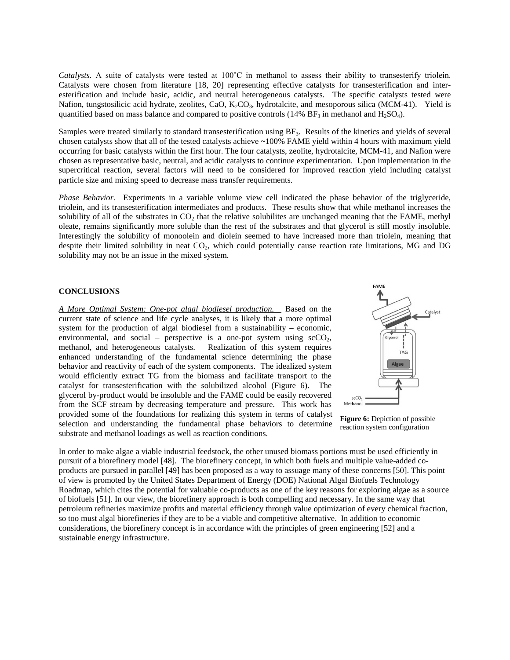*Catalysts.* A suite of catalysts were tested at 100˚C in methanol to assess their ability to transesterify triolein. Catalysts were chosen from literature [\[18,](#page-6-17) [20\]](#page-6-18) representing effective catalysts for transesterification and interesterification and include basic, acidic, and neutral heterogeneous catalysts. The specific catalysts tested were Nafion, tungstosilicic acid hydrate, zeolites, CaO,  $K_2CO_3$ , hydrotalcite, and mesoporous silica (MCM-41). Yield is quantified based on mass balance and compared to positive controls (14% BF<sub>3</sub> in methanol and H<sub>2</sub>SO<sub>4</sub>).

Samples were treated similarly to standard transesterification using  $BF_3$ . Results of the kinetics and yields of several chosen catalysts show that all of the tested catalysts achieve ~100% FAME yield within 4 hours with maximum yield occurring for basic catalysts within the first hour. The four catalysts, zeolite, hydrotalcite, MCM-41, and Nafion were chosen as representative basic, neutral, and acidic catalysts to continue experimentation. Upon implementation in the supercritical reaction, several factors will need to be considered for improved reaction yield including catalyst particle size and mixing speed to decrease mass transfer requirements.

*Phase Behavior.* Experiments in a variable volume view cell indicated the phase behavior of the triglyceride, triolein, and its transesterification intermediates and products. These results show that while methanol increases the solubility of all of the substrates in  $CO<sub>2</sub>$  that the relative solubilites are unchanged meaning that the FAME, methyl oleate, remains significantly more soluble than the rest of the substrates and that glycerol is still mostly insoluble. Interestingly the solubility of monoolein and diolein seemed to have increased more than triolein, meaning that despite their limited solubility in neat  $CO<sub>2</sub>$ , which could potentially cause reaction rate limitations, MG and DG solubility may not be an issue in the mixed system.

## **CONCLUSIONS**

*A More Optimal System: One-pot algal biodiesel production.* Based on the current state of science and life cycle analyses, it is likely that a more optimal system for the production of algal biodiesel from a sustainability – economic, environmental, and social – perspective is a one-pot system using  $\text{scCO}_2$ , methanol, and heterogeneous catalysts. Realization of this system requires enhanced understanding of the fundamental science determining the phase behavior and reactivity of each of the system components. The idealized system would efficiently extract TG from the biomass and facilitate transport to the catalyst for transesterification with the solubilized alcohol (Figure 6). The glycerol by-product would be insoluble and the FAME could be easily recovered from the SCF stream by decreasing temperature and pressure. This work has provided some of the foundations for realizing this system in terms of catalyst selection and understanding the fundamental phase behaviors to determine substrate and methanol loadings as well as reaction conditions.



**Figure 6:** Depiction of possible reaction system configuration

In order to make algae a viable industrial feedstock, the other unused biomass portions must be used efficiently in pursuit of a biorefinery model [\[48\]](#page-7-7). The biorefinery concept, in which both fuels and multiple value-added coproducts are pursued in parallel [\[49\]](#page-7-8) has been proposed as a way to assuage many of these concerns [\[50\]](#page-7-9). This point of view is promoted by the United States Department of Energy (DOE) National Algal Biofuels Technology Roadmap, which cites the potential for valuable co-products as one of the key reasons for exploring algae as a source of biofuels [\[51\]](#page-7-10). In our view, the biorefinery approach is both compelling and necessary. In the same way that petroleum refineries maximize profits and material efficiency through value optimization of every chemical fraction, so too must algal biorefineries if they are to be a viable and competitive alternative. In addition to economic considerations, the biorefinery concept is in accordance with the principles of green engineering [\[52\]](#page-7-11) and a sustainable energy infrastructure.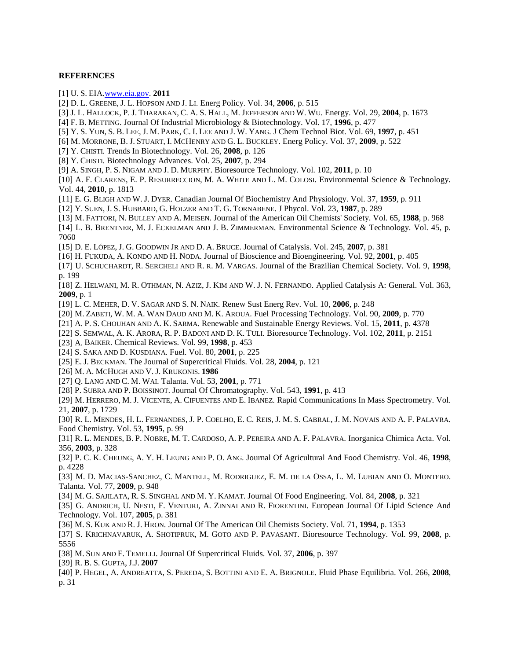# **REFERENCES**

<span id="page-6-0"></span>[1] U. S. EI[A.www.eia.gov.](http://www.eia.gov/) **2011**

- <span id="page-6-1"></span>[2] D. L. GREENE, J. L. HOPSON AND J. LI. Energ Policy. Vol. 34, **2006**, p. 515
- <span id="page-6-2"></span>[3] J. L. HALLOCK, P. J. THARAKAN, C. A. S. HALL, M. JEFFERSON AND W. WU. Energy. Vol. 29, **2004**, p. 1673

<span id="page-6-3"></span>[4] F. B. METTING. Journal Of Industrial Microbiology & Biotechnology. Vol. 17, **1996**, p. 477

- <span id="page-6-4"></span>[5] Y. S. YUN, S. B. LEE, J. M. PARK, C. I. LEE AND J. W. YANG. J Chem Technol Biot. Vol. 69, **1997**, p. 451
- <span id="page-6-5"></span>[6] M. MORRONE, B. J. STUART, I. MCHENRY AND G. L. BUCKLEY. Energ Policy. Vol. 37, **2009**, p. 522
- <span id="page-6-6"></span>[7] Y. CHISTI. Trends In Biotechnology. Vol. 26, **2008**, p. 126
- <span id="page-6-7"></span>[8] Y. CHISTI. Biotechnology Advances. Vol. 25, **2007**, p. 294
- <span id="page-6-8"></span>[9] A. SINGH, P. S. NIGAM AND J. D. MURPHY. Bioresource Technology. Vol. 102, **2011**, p. 10

<span id="page-6-9"></span>[10] A. F. CLARENS, E. P. RESURRECCION, M. A. WHITE AND L. M. COLOSI. Environmental Science & Technology. Vol. 44, **2010**, p. 1813

- <span id="page-6-10"></span>[11] E. G. BLIGH AND W. J. DYER. Canadian Journal Of Biochemistry And Physiology. Vol. 37, **1959**, p. 911
- <span id="page-6-11"></span>[12] Y. SUEN, J. S. HUBBARD, G. HOLZER AND T. G. TORNABENE. J Phycol. Vol. 23, **1987**, p. 289
- <span id="page-6-12"></span>[13] M. FATTORI, N. BULLEY AND A. MEISEN. Journal of the American Oil Chemists' Society. Vol. 65, **1988**, p. 968
- <span id="page-6-13"></span>[14] L. B. BRENTNER, M. J. ECKELMAN AND J. B. ZIMMERMAN. Environmental Science & Technology. Vol. 45, p. 7060
- <span id="page-6-14"></span>[15] D. E. LÓPEZ, J. G. GOODWIN JR AND D. A. BRUCE. Journal of Catalysis. Vol. 245, **2007**, p. 381
- <span id="page-6-15"></span>[16] H. FUKUDA, A. KONDO AND H. NODA. Journal of Bioscience and Bioengineering. Vol. 92, **2001**, p. 405
- <span id="page-6-16"></span>[17] U. SCHUCHARDT, R. SERCHELI AND R. R. M. VARGAS. Journal of the Brazilian Chemical Society. Vol. 9, **1998**, p. 199
- <span id="page-6-17"></span>[18] Z. HELWANI, M. R. OTHMAN, N. AZIZ, J. KIM AND W. J. N. FERNANDO. Applied Catalysis A: General. Vol. 363, **2009**, p. 1
- [19] L. C. MEHER, D. V. SAGAR AND S. N. NAIK. Renew Sust Energ Rev. Vol. 10, **2006**, p. 248
- <span id="page-6-18"></span>[20] M. ZABETI, W. M. A. WAN DAUD AND M. K. AROUA. Fuel Processing Technology. Vol. 90, **2009**, p. 770
- [21] A. P. S. CHOUHAN AND A. K. SARMA. Renewable and Sustainable Energy Reviews. Vol. 15, **2011**, p. 4378
- [22] S. SEMWAL, A. K. ARORA, R. P. BADONI AND D. K. TULI. Bioresource Technology. Vol. 102, **2011**, p. 2151
- <span id="page-6-19"></span>[23] A. BAIKER. Chemical Reviews. Vol. 99, **1998**, p. 453
- <span id="page-6-20"></span>[24] S. SAKA AND D. KUSDIANA. Fuel. Vol. 80, **2001**, p. 225
- <span id="page-6-21"></span>[25] E. J. BECKMAN. The Journal of Supercritical Fluids. Vol. 28, **2004**, p. 121
- <span id="page-6-22"></span>[26] M. A. MCHUGH AND V. J. KRUKONIS. **1986**
- <span id="page-6-23"></span>[27] Q. LANG AND C. M. WAI. Talanta. Vol. 53, **2001**, p. 771
- <span id="page-6-25"></span>[28] P. SUBRA AND P. BOISSINOT. Journal Of Chromatography. Vol. 543, **1991**, p. 413

[29] M. HERRERO, M. J. VICENTE, A. CIFUENTES AND E. IBANEZ. Rapid Communications In Mass Spectrometry. Vol. 21, **2007**, p. 1729

<span id="page-6-24"></span>[30] R. L. MENDES, H. L. FERNANDES, J. P. COELHO, E. C. REIS, J. M. S. CABRAL, J. M. NOVAIS AND A. F. PALAVRA. Food Chemistry. Vol. 53, **1995**, p. 99

[31] R. L. MENDES, B. P. NOBRE, M. T. CARDOSO, A. P. PEREIRA AND A. F. PALAVRA. Inorganica Chimica Acta. Vol. 356, **2003**, p. 328

- [32] P. C. K. CHEUNG, A. Y. H. LEUNG AND P. O. ANG. Journal Of Agricultural And Food Chemistry. Vol. 46, **1998**, p. 4228
- [33] M. D. MACIAS-SANCHEZ, C. MANTELL, M. RODRIGUEZ, E. M. DE LA OSSA, L. M. LUBIAN AND O. MONTERO. Talanta. Vol. 77, **2009**, p. 948
- [34] M. G. SAJILATA, R. S. SINGHAL AND M. Y. KAMAT. Journal Of Food Engineering. Vol. 84, **2008**, p. 321
- [35] G. ANDRICH, U. NESTI, F. VENTURI, A. ZINNAI AND R. FIORENTINI. European Journal Of Lipid Science And Technology. Vol. 107, **2005**, p. 381
- [36] M. S. KUK AND R. J. HRON. Journal Of The American Oil Chemists Society. Vol. 71, **1994**, p. 1353
- [37] S. KRICHNAVARUK, A. SHOTIPRUK, M. GOTO AND P. PAVASANT. Bioresource Technology. Vol. 99, **2008**, p. 5556
- [38] M. SUN AND F. TEMELLI. Journal Of Supercritical Fluids. Vol. 37, **2006**, p. 397
- <span id="page-6-26"></span>[39] R. B. S. GUPTA, J.J. **2007**
- <span id="page-6-27"></span>[40] P. HEGEL, A. ANDREATTA, S. PEREDA, S. BOTTINI AND E. A. BRIGNOLE. Fluid Phase Equilibria. Vol. 266, **2008**, p. 31